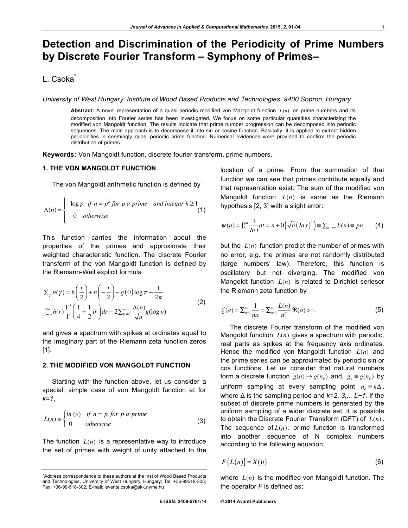# **Detection and Discrimination of the Periodicity of Prime Numbers by Discrete Fourier Transform – Symphony of Primes–**

## L. Csoka<sup>\*</sup>

*University of West Hungary, Institute of Wood Based Products and Technologies, 9400 Sopron, Hungary*

**Abstract:** A novel representation of a quasi-periodic modified von Mangoldt function *L*(*n*) on prime numbers and its decomposition into Fourier series has been investigated. We focus on some particular quantities characterizing the modified von Mangoldt function. The results indicate that prime number progression can be decomposed into periodic sequences. The main approach is to decompose it into sin or cosine function. Basically, it is applied to extract hidden periodicities in seemingly quasi periodic prime function. Numerical evidences were provided to confirm the periodic distribution of primes.

**Keywords:** Von Mangoldt function, discrete fourier transform, prime numbers.

### **1. THE VON MANGOLDT FUNCTION**

The von Mangoldt arithmetic function is defined by

$$
\Lambda(n) = \begin{cases} \log p & \text{if } n = p^k \text{ for } p \text{ a prime} \\ 0 & \text{otherwise} \end{cases}
$$
 (1)

This function carries the information about the properties of the primes and approximate their weighted characteristic function. The discrete Fourier transform of the von Mangoldt function is defined by the Riemann-Weil explicit formula

$$
\sum_{\gamma} h(\gamma) = h\left(\frac{i}{2}\right) + h\left(-\frac{i}{2}\right) - g(0)\log \pi + \frac{1}{2\pi}
$$
  

$$
\int_{-\infty}^{\infty} h(r) \frac{\Gamma'}{\Gamma} \left(\frac{1}{4} + \frac{1}{2}ir\right) dr - 2\sum_{n=1}^{\infty} \frac{\Lambda(n)}{\sqrt{n}} g(\log n)
$$
 (2)

and gives a spectrum with spikes at ordinates equal to the imaginary part of the Riemann zeta function zeros [1].

#### **2. THE MODIFIED VON MANGOLDT FUNCTION**

Starting with the function above, let us consider a special, simple case of von Mangoldt function at for *k=1*,

$$
L(n) \equiv \begin{cases} \ln(e) & \text{if } n = p \text{ for } p \text{ a prime} \\ 0 & \text{otherwise} \end{cases}
$$
 (3)

The function  $L(n)$  is a representative way to introduce the set of primes with weight of unity attached to the location of a prime. From the summation of that function we can see that primes contribute equally and that representation exist. The sum of the modified von Mangoldt function *L*(*n*) is same as the Riemann hypothesis [2, 3] with a slight error:

$$
\psi(n) = \int_2^{pn} \frac{1}{\ln t} dt = n + 0 \left( \sqrt{n} \left( \ln x \right)^2 \right) \equiv \sum_{n \to \infty} L(n) \equiv pn \tag{4}
$$

but the *L*(*n*) function predict the number of primes with no error, e.g. the primes are not randomly distributed (large numbers' law). Therefore, this function is oscillatory but not diverging. The modified von Mangoldt function *L*(*n*) is related to Dirichlet seriesor the Riemann zeta function by

$$
\zeta(a) = \sum_{n=1}^{\infty} \frac{1}{na} = \sum_{n=1}^{\infty} \frac{L(n)}{n^a} \Re(a) > 1.
$$
 (5)

The discrete Fourier transform of the modified von Mangoldt function *L*(*n*) gives a spectrum with periodic, real parts as spikes at the frequency axis ordinates. Hence the modified von Mangoldt function *L*(*n*) and the prime series can be approximated by periodic sin or cos functions. Let us consider that natural numbers form a discrete function  $g(n) \rightarrow g(n_k)$  and,  $g_k \equiv g(n_k)$  by uniform sampling at every sampling point  $n_k = k\Delta$ , where Δ is the sampling period and *k=2, 3,.., L−1*. If the subset of discrete prime numbers is generated by the uniform sampling of a wider discrete set, it is possible to obtain the Discrete Fourier Transform (DFT) of *L*(*n*). The sequence of  $L(n)$ . prime function is transformed into another sequence of N complex numbers according to the following equation:

$$
F\{L(n)\} = X(v) \tag{6}
$$

where *L*(*n*) is the modified von Mangoldt function. The the operator *F* is defined as:

<sup>\*</sup>Address correspondence to these authors at the Inst of Wood Based Products and Technologies, University of West Hungary, Hungary; Tel: +36-99518-305; Fax: +36-99-518-302; E-mail: levente.csoka@skk.nyme.hu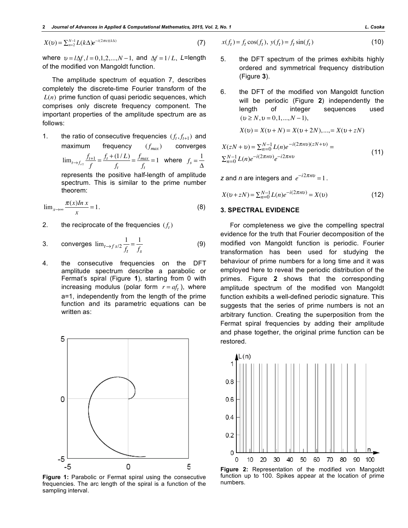$$
X(v) = \sum_{n=2}^{N-1} L(k\Delta) e^{-i(2\pi v)(k\Delta)} \tag{7}
$$

where  $v = l\Delta f$ ,  $l = 0,1,2,...,N-1$ , and  $\Delta f = 1/L$ , *L*=length of the modified von Mangoldt function.

The amplitude spectrum of equation 7, describes completely the discrete-time Fourier transform of the *L*(*n*) prime function of quasi periodic sequences, which comprises only discrete frequency component. The important properties of the amplitude spectrum are as follows:

1. the ratio of consecutive frequencies  $(f_t, f_{t+1})$  and maximum frequency  $(f_{max})$  converges  $\lim_{t \to f_{s/2}} \frac{f_{t+1}}{f} = \frac{f_t + (1/L)}{f_t}$  $=\frac{f_{max}}{g}$  $\frac{max}{f_t} = 1$  where  $f_s = \frac{1}{\Delta}$ 

represents the positive half-length of amplitude spectrum. This is similar to the prime number theorem:

$$
\lim_{x \to \infty} \frac{\pi(x) \ln x}{x} = 1.
$$
 (8)

2. the reciprocate of the frequencies  $(f_t)$ 

3. converges 
$$
\lim_{t \to f} s/2 \frac{1}{f_t} = \frac{1}{f_s}
$$
 (9)

4. the consecutive frequencies on the DFT amplitude spectrum describe a parabolic or Fermat's spiral (Figure **1**), starting from 0 with increasing modulus (polar form  $r = af_t$ ), where a=1, independently from the length of the prime function and its parametric equations can be written as:



**Figure 1:** Parabolic or Fermat spiral using the consecutive function to function the consecutive function of the consecutive mumbers. frequencies. The arc length of the spiral is a function of the sampling interval.

$$
x(f_t) = f_t \cos(f_t), \ y(f_t) = f_t \sin(f_t)
$$
 (10)

- 5. the DFT spectrum of the primes exhibits highly ordered and symmetrical frequency distribution (Figure **3**).
- 6. the DFT of the modified von Mangoldt function will be periodic (Figure **2**) independently the length of integer sequences used  $(v \ge N, v = 0, 1, ..., N - 1),$

$$
X(v) = X(v + N) = X(v + 2N), \dots, = X(v + zN)
$$

$$
X(zN + v) = \sum_{n=0}^{N-1} L(n)e^{-i(2\pi nv)(zN + v)} =
$$
  
 
$$
\sum_{n=0}^{N-1} L(n)e^{-i(2\pi nv)}e^{-i2\pi nv}
$$
 (11)

*z* and *n* are integers and  $e^{-i2\pi nv} = 1$ .

$$
X(\upsilon + zN) = \sum_{n=0}^{N-1} L(n)e^{-i(2\pi n\upsilon)} = X(\upsilon)
$$
 (12)

#### **3. SPECTRAL EVIDENCE**

For completeness we give the compelling spectral evidence for the truth that Fourier decomposition of the modified von Mangoldt function is periodic. Fourier transformation has been used for studying the behaviour of prime numbers for a long time and it was employed here to reveal the periodic distribution of the primes. Figure **2** shows that the corresponding amplitude spectrum of the modified von Mangoldt function exhibits a well-defined periodic signature. This suggests that the series of prime numbers is not an arbitrary function. Creating the superposition from the Fermat spiral frequencies by adding their amplitude and phase together, the original prime function can be restored.



**Figure 2:** Representation of the modified von Mangoldt function up to 100. Spikes appear at the location of prime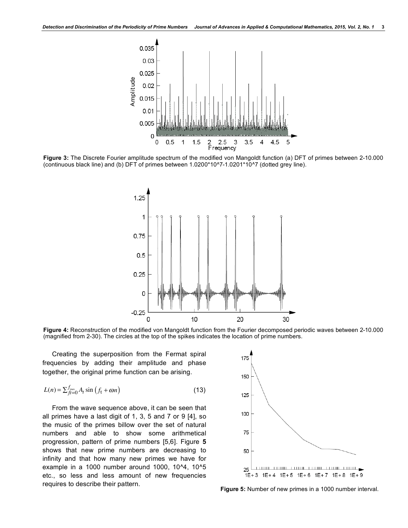

**Figure 3:** The Discrete Fourier amplitude spectrum of the modified von Mangoldt function (a) DFT of primes between 2-10.000 (continuous black line) and (b) DFT of primes between 1.0200\*10^7-1.0201\*10^7 (dotted grey line).



**Figure 4:** Reconstruction of the modified von Mangoldt function from the Fourier decomposed periodic waves between 2-10.000 (magnified from 2-30). The circles at the top of the spikes indicates the location of prime numbers.

Creating the superposition from the Fermat spiral frequencies by adding their amplitude and phase together, the original prime function can be arising.

$$
L(n) = \sum_{f=0}^{f_{\text{max}}} A_f \sin\left(f_t + \omega n\right) \tag{13}
$$

From the wave sequence above, it can be seen that all primes have a last digit of 1, 3, 5 and 7 or 9 [4], so the music of the primes billow over the set of natural numbers and able to show some arithmetical progression, pattern of prime numbers [5,6]. Figure **5** shows that new prime numbers are decreasing to infinity and that how many new primes we have for example in a 1000 number around 1000, 10^4, 10^5 etc., so less and less amount of new frequencies requires to describe their pattern. **Figure 5:** Number of new primes in a 1000 number interval.